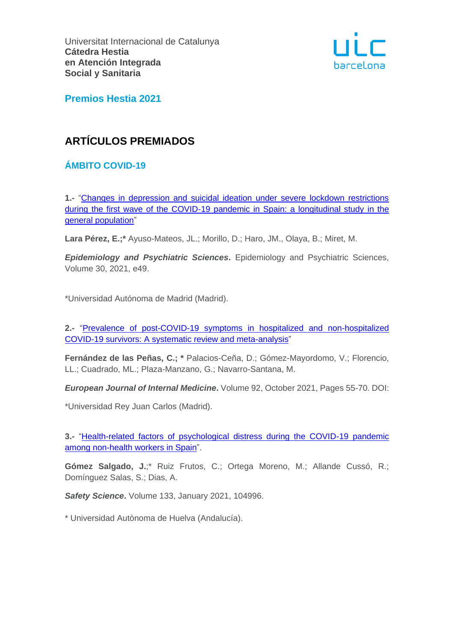Universitat Internacional de Catalunya **Cátedra Hestia en Atención Integrada Social y Sanitaria**



**Premios Hestia 2021**

# **ARTÍCULOS PREMIADOS**

## **ÁMBITO COVID-19**

**1.-** ["Changes in depression and suicidal ideation under severe lockdown restrictions](https://doi.org/10.1017/S2045796021000408)  [during the first wave of the COVID-19 pandemic in Spain: a longitudinal study](https://doi.org/10.1017/S2045796021000408) in the [general population"](https://doi.org/10.1017/S2045796021000408)

**Lara Pérez, E.;\*** Ayuso-Mateos, JL.; Morillo, D.; Haro, JM., Olaya, B.; Miret, M.

*Epidemiology and Psychiatric Sciences*. Epidemiology and Psychiatric Sciences, Volume 30, 2021, e49.

\*Universidad Autónoma de Madrid (Madrid).

**2.-** ["Prevalence of post-COVID-19 symptoms in hospitalized and non-hospitalized](https://doi.org/10.1016/j.ejim.2021.06.009)  [COVID-19 survivors: A systematic review and meta-analysis"](https://doi.org/10.1016/j.ejim.2021.06.009)

**Fernández de las Peñas, C.; \*** Palacios-Ceña, D.; Gómez-Mayordomo, V.; Florencio, LL.; Cuadrado, ML.; Plaza-Manzano, G.; Navarro-Santana, M.

*European Journal of Internal Medicine***.** Volume 92, October 2021, Pages 55-70. DOI:

\*Universidad Rey Juan Carlos (Madrid).

**3.-** ["Health-related factors of psychological distress during the COVID-19 pandemic](https://doi.org/10.1016/j.ssci.2020.104996)  [among non-health workers in Spain"](https://doi.org/10.1016/j.ssci.2020.104996).

**Gómez Salgado, J.**;\* Ruiz Frutos, C.; Ortega Moreno, M.; Allande Cussó, R.; Domínguez Salas, S.; Dias, A.

*Safety Science***.** Volume 133, January 2021, 104996.

\* Universidad Autònoma de Huelva (Andalucía).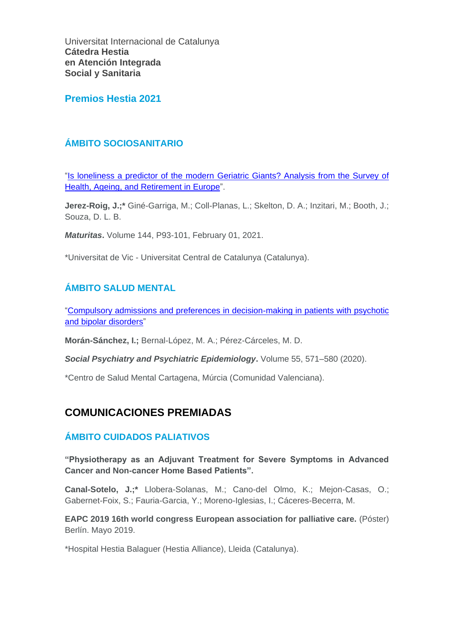Universitat Internacional de Catalunya **Cátedra Hestia en Atención Integrada Social y Sanitaria**

**Premios Hestia 2021**

## **ÁMBITO SOCIOSANITARIO**

["Is loneliness a predictor of the modern Geriatric Giants? Analysis from the Survey of](https://doi.org/10.1016/j.maturitas.2020.11.010)  [Health, Ageing, and Retirement in Europe"](https://doi.org/10.1016/j.maturitas.2020.11.010).

**Jerez-Roig, J.;\*** Giné-Garriga, M.; Coll-Planas, L.; Skelton, D. A.; Inzitari, M.; Booth, J.; Souza, D. L. B.

*Maturitas***.** Volume 144, P93-101, February 01, 2021.

\*Universitat de Vic - Universitat Central de Catalunya (Catalunya).

## **ÁMBITO SALUD MENTAL**

["Compulsory admissions and preferences in decision-making in patients with psychotic](https://doi.org/10.1007/s00127-019-01809-4)  [and bipolar disorders"](https://doi.org/10.1007/s00127-019-01809-4)

**Morán-Sánchez, I.;** Bernal-López, M. A.; Pérez-Cárceles, M. D.

*Social Psychiatry and Psychiatric Epidemiology***.** Volume 55, 571–580 (2020).

\*Centro de Salud Mental Cartagena, Múrcia (Comunidad Valenciana).

## **COMUNICACIONES PREMIADAS**

### **ÁMBITO CUIDADOS PALIATIVOS**

**"Physiotherapy as an Adjuvant Treatment for Severe Symptoms in Advanced Cancer and Non-cancer Home Based Patients".**

**Canal-Sotelo, J.;\*** Llobera-Solanas, M.; Cano-del Olmo, K.; Mejon-Casas, O.; Gabernet-Foix, S.; Fauria-Garcia, Y.; Moreno-Iglesias, I.; Cáceres-Becerra, M.

**EAPC 2019 16th world congress European association for palliative care.** (Póster) Berlín. Mayo 2019.

\*Hospital Hestia Balaguer (Hestia Alliance), Lleida (Catalunya).